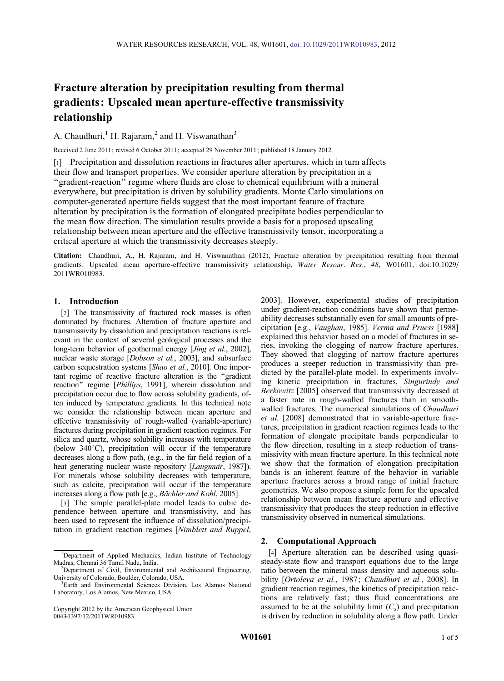# Fracture alteration by precipitation resulting from thermal gradients : Upscaled mean aperture-effective transmissivity relationship

A. Chaudhuri, $<sup>1</sup>$  H. Rajaram, $<sup>2</sup>$  and H. Viswanathan<sup>3</sup></sup></sup>

Received 2 June 2011; revised 6 October 2011; accepted 29 November 2011; published 18 January 2012.

[1] Precipitation and dissolution reactions in fractures alter apertures, which in turn affects their flow and transport properties. We consider aperture alteration by precipitation in a ''gradient-reaction'' regime where fluids are close to chemical equilibrium with a mineral everywhere, but precipitation is driven by solubility gradients. Monte Carlo simulations on computer-generated aperture fields suggest that the most important feature of fracture alteration by precipitation is the formation of elongated precipitate bodies perpendicular to the mean flow direction. The simulation results provide a basis for a proposed upscaling relationship between mean aperture and the effective transmissivity tensor, incorporating a critical aperture at which the transmissivity decreases steeply.

Citation: Chaudhuri, A., H. Rajaram, and H. Viswanathan (2012), Fracture alteration by precipitation resulting from thermal gradients: Upscaled mean aperture-effective transmissivity relationship, Water Resour. Res., 48, W01601, doi:10.1029/ 2011WR010983.

## 1. Introduction

[2] The transmissivity of fractured rock masses is often dominated by fractures. Alteration of fracture aperture and transmissivity by dissolution and precipitation reactions is relevant in the context of several geological processes and the long-term behavior of geothermal energy [*Jing et al.*, 2002], nuclear waste storage [Dobson et al., 2003], and subsurface carbon sequestration systems [Shao et al., 2010]. One important regime of reactive fracture alteration is the ''gradient reaction" regime [Phillips, 1991], wherein dissolution and precipitation occur due to flow across solubility gradients, often induced by temperature gradients. In this technical note we consider the relationship between mean aperture and effective transmissivity of rough-walled (variable-aperture) fractures during precipitation in gradient reaction regimes. For silica and quartz, whose solubility increases with temperature (below  $340^{\circ}$ C), precipitation will occur if the temperature decreases along a flow path, (e.g., in the far field region of a heat generating nuclear waste repository [*Langmuir*, 1987]). For minerals whose solubility decreases with temperature, such as calcite, precipitation will occur if the temperature increases along a flow path [e.g., Bächler and Kohl, 2005].

[3] The simple parallel-plate model leads to cubic dependence between aperture and transmissivity, and has been used to represent the influence of dissolution/precipitation in gradient reaction regimes [Nimblett and Ruppel,

2003]. However, experimental studies of precipitation under gradient-reaction conditions have shown that permeability decreases substantially even for small amounts of precipitation [e.g., Vaughan, 1985]. Verma and Pruess [1988] explained this behavior based on a model of fractures in series, invoking the clogging of narrow fracture apertures. They showed that clogging of narrow fracture apertures produces a steeper reduction in transmissivity than predicted by the parallel-plate model. In experiments involving kinetic precipitation in fractures, Singurindy and Berkowitz [2005] observed that transmissivity decreased at a faster rate in rough-walled fractures than in smoothwalled fractures. The numerical simulations of Chaudhuri et al. [2008] demonstrated that in variable-aperture fractures, precipitation in gradient reaction regimes leads to the formation of elongate precipitate bands perpendicular to the flow direction, resulting in a steep reduction of transmissivity with mean fracture aperture. In this technical note we show that the formation of elongation precipitation bands is an inherent feature of the behavior in variable aperture fractures across a broad range of initial fracture geometries. We also propose a simple form for the upscaled relationship between mean fracture aperture and effective transmissivity that produces the steep reduction in effective transmissivity observed in numerical simulations.

### 2. Computational Approach

[4] Aperture alteration can be described using quasisteady-state flow and transport equations due to the large ratio between the mineral mass density and aqueous solubility [Ortoleva et al., 1987; Chaudhuri et al., 2008]. In gradient reaction regimes, the kinetics of precipitation reactions are relatively fast; thus fluid concentrations are assumed to be at the solubility limit  $(C_s)$  and precipitation is driven by reduction in solubility along a flow path. Under

<sup>1</sup>Department of Applied Mechanics, Indian Institute of Technology Madras, Chennai 36 Tamil Nadu, India.

 ${}^{2}$ Department of Civil, Environmental and Architectural Engineering, University of Colorado, Boulder, Colorado, USA.

<sup>3</sup> Earth and Environmental Sciences Division, Los Alamos National Laboratory, Los Alamos, New Mexico, USA.

Copyright 2012 by the American Geophysical Union 0043-1397/12/2011WR010983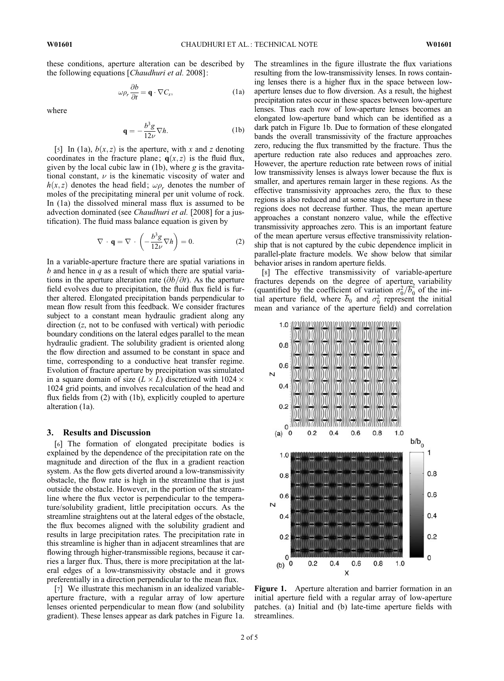these conditions, aperture alteration can be described by the following equations [Chaudhuri et al. 2008]:

$$
\omega \rho_r \frac{\partial b}{\partial t} = \mathbf{q} \cdot \nabla C_s, \qquad (1a)
$$

where

$$
\mathbf{q} = -\frac{b^3 g}{12\nu} \nabla h. \tag{1b}
$$

[5] In (1a),  $b(x, z)$  is the aperture, with x and z denoting coordinates in the fracture plane;  $q(x, z)$  is the fluid flux, given by the local cubic law in  $(1b)$ , where g is the gravitational constant,  $\nu$  is the kinematic viscosity of water and  $h(x, z)$  denotes the head field;  $\omega \rho_r$  denotes the number of moles of the precipitating mineral per unit volume of rock. In (1a) the dissolved mineral mass flux is assumed to be advection dominated (see Chaudhuri et al. [2008] for a justification). The fluid mass balance equation is given by

$$
\nabla \cdot \mathbf{q} = \nabla \cdot \left( -\frac{b^3 g}{12\nu} \nabla h \right) = 0.
$$
 (2)

In a variable-aperture fracture there are spatial variations in b and hence in  $q$  as a result of which there are spatial variations in the aperture alteration rate  $(\partial b/\partial t)$ . As the aperture field evolves due to precipitation, the fluid flux field is further altered. Elongated precipitation bands perpendicular to mean flow result from this feedback. We consider fractures subject to a constant mean hydraulic gradient along any direction (z, not to be confused with vertical) with periodic boundary conditions on the lateral edges parallel to the mean hydraulic gradient. The solubility gradient is oriented along the flow direction and assumed to be constant in space and time, corresponding to a conductive heat transfer regime. Evolution of fracture aperture by precipitation was simulated in a square domain of size ( $L \times L$ ) discretized with 1024  $\times$ 1024 grid points, and involves recalculation of the head and flux fields from (2) with (1b), explicitly coupled to aperture alteration (1a).

#### 3. Results and Discussion

[6] The formation of elongated precipitate bodies is explained by the dependence of the precipitation rate on the magnitude and direction of the flux in a gradient reaction system. As the flow gets diverted around a low-transmissivity obstacle, the flow rate is high in the streamline that is just outside the obstacle. However, in the portion of the streamline where the flux vector is perpendicular to the temperature/solubility gradient, little precipitation occurs. As the streamline straightens out at the lateral edges of the obstacle, the flux becomes aligned with the solubility gradient and results in large precipitation rates. The precipitation rate in this streamline is higher than in adjacent streamlines that are flowing through higher-transmissible regions, because it carries a larger flux. Thus, there is more precipitation at the lateral edges of a low-transmissivity obstacle and it grows preferentially in a direction perpendicular to the mean flux.

[7] We illustrate this mechanism in an idealized variableaperture fracture, with a regular array of low aperture lenses oriented perpendicular to mean flow (and solubility gradient). These lenses appear as dark patches in Figure 1a. The streamlines in the figure illustrate the flux variations resulting from the low-transmissivity lenses. In rows containing lenses there is a higher flux in the space between lowaperture lenses due to flow diversion. As a result, the highest precipitation rates occur in these spaces between low-aperture lenses. Thus each row of low-aperture lenses becomes an elongated low-aperture band which can be identified as a dark patch in Figure 1b. Due to formation of these elongated bands the overall transmissivity of the fracture approaches zero, reducing the flux transmitted by the fracture. Thus the aperture reduction rate also reduces and approaches zero. However, the aperture reduction rate between rows of initial low transmissivity lenses is always lower because the flux is smaller, and apertures remain larger in these regions. As the effective transmissivity approaches zero, the flux to these regions is also reduced and at some stage the aperture in these regions does not decrease further. Thus, the mean aperture approaches a constant nonzero value, while the effective transmissivity approaches zero. This is an important feature of the mean aperture versus effective transmissivity relationship that is not captured by the cubic dependence implicit in parallel-plate fracture models. We show below that similar behavior arises in random aperture fields.

[8] The effective transmissivity of variable-aperture fractures depends on the degree of aperture variability (quantified by the coefficient of variation  $\sigma_0^2/\overline{b}_0^2$  of the initial aperture field, where  $\overline{b}_0$  and  $\sigma_0^2$  represent the initial mean and variance of the aperture field) and correlation



Figure 1. Aperture alteration and barrier formation in an initial aperture field with a regular array of low-aperture patches. (a) Initial and (b) late-time aperture fields with streamlines.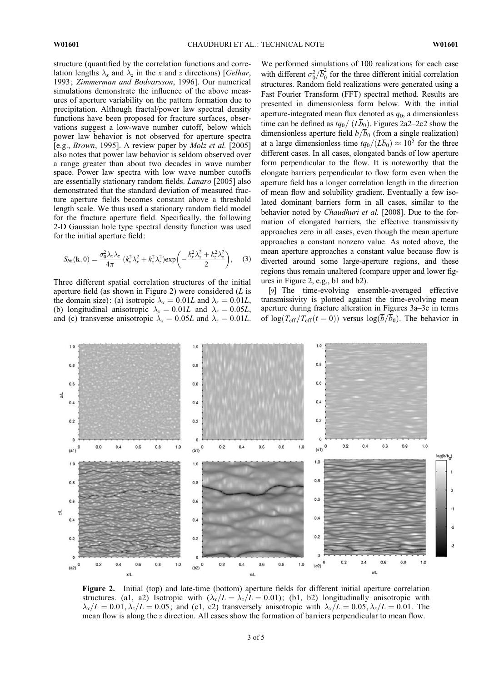structure (quantified by the correlation functions and correlation lengths  $\lambda_x$  and  $\lambda_z$  in the x and z directions) [*Gelhar*, 1993; Zimmerman and Bodvarsson, 1996]. Our numerical simulations demonstrate the influence of the above measures of aperture variability on the pattern formation due to precipitation. Although fractal/power law spectral density functions have been proposed for fracture surfaces, observations suggest a low-wave number cutoff, below which power law behavior is not observed for aperture spectra [e.g., *Brown*, 1995]. A review paper by *Molz et al.* [2005] also notes that power law behavior is seldom observed over a range greater than about two decades in wave number space. Power law spectra with low wave number cutoffs are essentially stationary random fields. Lanaro [2005] also demonstrated that the standard deviation of measured fracture aperture fields becomes constant above a threshold length scale. We thus used a stationary random field model for the fracture aperture field. Specifically, the following 2-D Gaussian hole type spectral density function was used for the initial aperture field:

$$
S_{bb}(\mathbf{k},0)=\frac{\sigma_0^2\lambda_x\lambda_z}{4\pi}\left(k_x^2\lambda_x^2+k_z^2\lambda_z^2\right)\exp\left(-\frac{k_x^2\lambda_x^2+k_z^2\lambda_z^2}{2}\right),\quad (3)
$$

Three different spatial correlation structures of the initial aperture field (as shown in Figure 2) were considered  $(L$  is the domain size): (a) isotropic  $\lambda_x = 0.01L$  and  $\lambda_z = 0.01L$ , (b) longitudinal anisotropic  $\lambda_x = 0.01L$  and  $\lambda_z = 0.05L$ , and (c) transverse anisotropic  $\lambda_x = 0.05L$  and  $\lambda_z = 0.01L$ .

We performed simulations of 100 realizations for each case with different  $\sigma_0^2/\overline{b}_0^2$  $\int_0^2$  for the three different initial correlation structures. Random field realizations were generated using a Fast Fourier Transform (FFT) spectral method. Results are presented in dimensionless form below. With the initial aperture-integrated mean flux denoted as  $q_0$ , a dimensionless time can be defined as  $tq_0/(L\overline{b}_0)$ . Figures 2a2–2c2 show the dimensionless aperture field  $b/b_0$  (from a single realization) at a large dimensionless time  $t q_0/(L\overline{b}_0) \approx 10^5$  for the three different cases. In all cases, elongated bands of low aperture form perpendicular to the flow. It is noteworthy that the elongate barriers perpendicular to flow form even when the aperture field has a longer correlation length in the direction of mean flow and solubility gradient. Eventually a few isolated dominant barriers form in all cases, similar to the behavior noted by *Chaudhuri et al.* [2008]. Due to the formation of elongated barriers, the effective transmissivity approaches zero in all cases, even though the mean aperture approaches a constant nonzero value. As noted above, the mean aperture approaches a constant value because flow is diverted around some large-aperture regions, and these regions thus remain unaltered (compare upper and lower figures in Figure 2, e.g., b1 and b2).

[9] The time-evolving ensemble-averaged effective transmissivity is plotted against the time-evolving mean aperture during fracture alteration in Figures 3a–3c in terms of  $\log(T_{\text{eff}}/T_{\text{eff}}(t=0))$  versus  $\log(\overline{b}/\overline{b}_0)$ . The behavior in



Figure 2. Initial (top) and late-time (bottom) aperture fields for different initial aperture correlation structures. (a1, a2) Isotropic with  $(\lambda_x/L = \lambda_z/L = 0.01)$ ; (b1, b2) longitudinally anisotropic with  $\lambda_x/L = 0.01, \lambda_z/L = 0.05$ ; and (c1, c2) transversely anisotropic with  $\lambda_x/L = 0.05, \lambda_z/L = 0.01$ . The mean flow is along the z direction. All cases show the formation of barriers perpendicular to mean flow.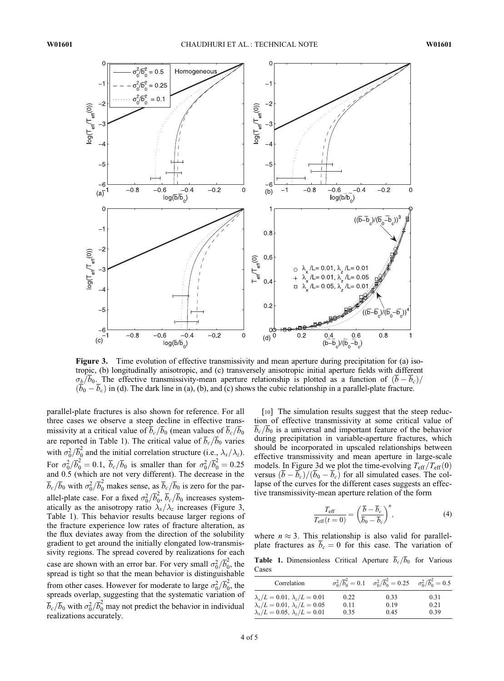

Figure 3. Time evolution of effective transmissivity and mean aperture during precipitation for (a) isotropic, (b) longitudinally anisotropic, and (c) transversely anisotropic initial aperture fields with different  $\sigma_b/\overline{b}_0$ . The effective transmissivity-mean aperture relationship is plotted as a function of  $(\overline{b}-\overline{b}_c)/\overline{b}_0$  $(\overline{b}_0 - \overline{b}_c)$  in (d). The dark line in (a), (b), and (c) shows the cubic relationship in a parallel-plate fracture.

parallel-plate fractures is also shown for reference. For all three cases we observe a steep decline in effective transmissivity at a critical value of  $b_c/b_0$  (mean values of  $b_c/b_0$ are reported in Table 1). The critical value of  $b_c/b_0$  varies with  $\sigma_0^2/\overline{b}_0^2$  $\int_0^2$  and the initial correlation structure (i.e.,  $\lambda_x/\lambda_z$ ). For  $\sigma_0^2/\overline{b}_0^2 = 0.1$ ,  $\overline{b}_c/\overline{b}_0$  is smaller than for  $\sigma_0^2/\overline{b}_0^2 = 0.25$ and 0.5 (which are not very different). The decrease in the  $\overline{b}_c/\overline{b}_0$  with  $\sigma_0^2/\overline{b}_0^2$  makes sense, as  $\overline{b}_c/\overline{b}_0$  is zero for the parallel-plate case. For a fixed  $\sigma_0^2/\overline{b}_0^2$  $\int_0^2$ ,  $b_c/b_0$  increases systematically as the anisotropy ratio  $\lambda_x/\lambda_z$  increases (Figure 3, Table 1). This behavior results because larger regions of the fracture experience low rates of fracture alteration, as the flux deviates away from the direction of the solubility gradient to get around the initially elongated low-transmissivity regions. The spread covered by realizations for each case are shown with an error bar. For very small  $\sigma_0^2/\overline{b}_0^2$  $\frac{2}{0}$ , the spread is tight so that the mean behavior is distinguishable from other cases. However for moderate to large  $\sigma_0^2/\overline{b}_0^2$  $\frac{2}{0}$ , the spreads overlap, suggesting that the systematic variation of  $\overline{b}_c/\overline{b}_0$  with  $\sigma_0^2/\overline{b}_0^2$  may not predict the behavior in individual realizations accurately.

[10] The simulation results suggest that the steep reduction of effective transmissivity at some critical value of  $\overline{b}_c/\overline{b}_0$  is a universal and important feature of the behavior during precipitation in variable-aperture fractures, which should be incorporated in upscaled relationships between effective transmissivity and mean aperture in large-scale models. In Figure 3d we plot the time-evolving  $T_{\text{eff}}/T_{\text{eff}}(0)$ versus  $(\overline{b} - \overline{b}_c)/(\overline{b}_0 - \overline{b}_c)$  for all simulated cases. The collapse of the curves for the different cases suggests an effective transmissivity-mean aperture relation of the form

$$
\frac{T_{\text{eff}}}{T_{\text{eff}}(t=0)} = \left(\frac{\overline{b} - \overline{b}_c}{\overline{b}_0 - \overline{b}_c}\right)^n, \tag{4}
$$

where  $n \approx 3$ . This relationship is also valid for parallelplate fractures as  $\overline{b}_c = 0$  for this case. The variation of

**Table 1.** Dimensionless Critical Aperture  $\overline{b}_c/\overline{b}_0$  for Various Cases

| Correlation                                 |      | $\sigma_0^2/\overline{b}_0^2 = 0.1$ $\sigma_0^2/\overline{b}_0^2 = 0.25$ $\sigma_0^2/\overline{b}_0^2 = 0.5$ |      |
|---------------------------------------------|------|--------------------------------------------------------------------------------------------------------------|------|
| $\lambda_x/L = 0.01, \lambda_z/L = 0.01$    | 0.22 | 0.33                                                                                                         | 0.31 |
| $\lambda_x/L = 0.01, \lambda_z/L = 0.05$    | 0.11 | 0.19                                                                                                         | 0.21 |
| $\lambda_x/L = 0.05$ , $\lambda_z/L = 0.01$ | 0.35 | 0.45                                                                                                         | 0.39 |